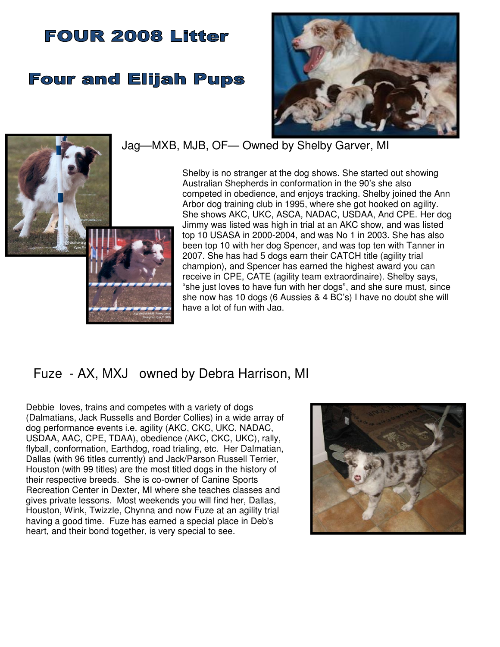# **FOUR 2008 Litter**

# **Four and Elijah Pups**





# Jag—MXB, MJB, OF— Owned by Shelby Garver, MI

Shelby is no stranger at the dog shows. She started out showing Australian Shepherds in conformation in the 90's she also competed in obedience, and enjoys tracking. Shelby joined the Ann Arbor dog training club in 1995, where she got hooked on agility. She shows AKC, UKC, ASCA, NADAC, USDAA, And CPE. Her dog Jimmy was listed was high in trial at an AKC show, and was listed top 10 USASA in 2000-2004, and was No 1 in 2003. She has also been top 10 with her dog Spencer, and was top ten with Tanner in 2007. She has had 5 dogs earn their CATCH title (agility trial champion), and Spencer has earned the highest award you can receive in CPE, CATE (agility team extraordinaire). Shelby says, "she just loves to have fun with her dogs", and she sure must, since she now has 10 dogs (6 Aussies & 4 BC's) I have no doubt she will have a lot of fun with Jag.

# Fuze - AX, MXJ owned by Debra Harrison, MI

Debbie loves, trains and competes with a variety of dogs (Dalmatians, Jack Russells and Border Collies) in a wide array of dog performance events i.e. agility (AKC, CKC, UKC, NADAC, USDAA, AAC, CPE, TDAA), obedience (AKC, CKC, UKC), rally, flyball, conformation, Earthdog, road trialing, etc. Her Dalmatian, Dallas (with 96 titles currently) and Jack/Parson Russell Terrier, Houston (with 99 titles) are the most titled dogs in the history of their respective breeds. She is co-owner of Canine Sports Recreation Center in Dexter, MI where she teaches classes and gives private lessons. Most weekends you will find her, Dallas, Houston, Wink, Twizzle, Chynna and now Fuze at an agility trial having a good time. Fuze has earned a special place in Deb's heart, and their bond together, is very special to see.

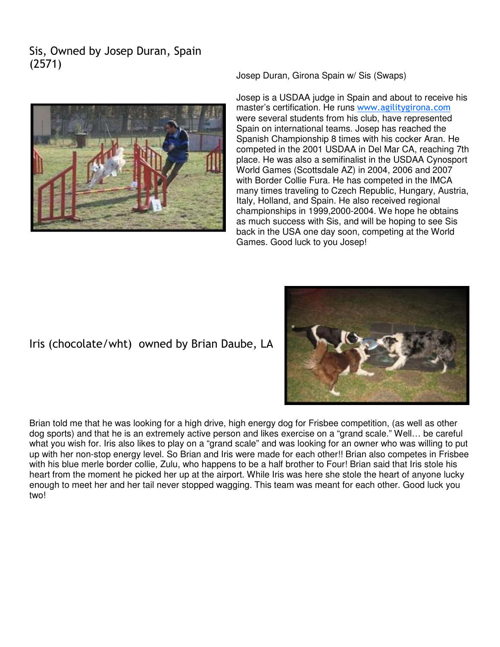# Sis, Owned by Josep Duran, Spain (2571)



Josep Duran, Girona Spain w/ Sis (Swaps)

Josep is a USDAA judge in Spain and about to receive his master's certification. He runs www.agilitygirona.com were several students from his club, have represented Spain on international teams. Josep has reached the Spanish Championship 8 times with his cocker Aran. He competed in the 2001 USDAA in Del Mar CA, reaching 7th place. He was also a semifinalist in the USDAA Cynosport World Games (Scottsdale AZ) in 2004, 2006 and 2007 with Border Collie Fura. He has competed in the IMCA many times traveling to Czech Republic, Hungary, Austria, Italy, Holland, and Spain. He also received regional championships in 1999,2000-2004. We hope he obtains as much success with Sis, and will be hoping to see Sis back in the USA one day soon, competing at the World Games. Good luck to you Josep!

## Iris (chocolate/wht) owned by Brian Daube, LA



Brian told me that he was looking for a high drive, high energy dog for Frisbee competition, (as well as other dog sports) and that he is an extremely active person and likes exercise on a "grand scale." Well… be careful what you wish for. Iris also likes to play on a "grand scale" and was looking for an owner who was willing to put up with her non-stop energy level. So Brian and Iris were made for each other!! Brian also competes in Frisbee with his blue merle border collie, Zulu, who happens to be a half brother to Four! Brian said that Iris stole his heart from the moment he picked her up at the airport. While Iris was here she stole the heart of anyone lucky enough to meet her and her tail never stopped wagging. This team was meant for each other. Good luck you two!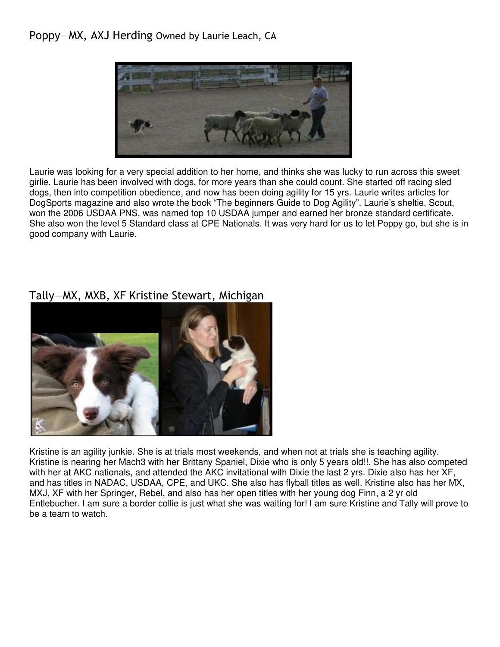#### Poppy—MX, AXJ Herding Owned by Laurie Leach, CA



Laurie was looking for a very special addition to her home, and thinks she was lucky to run across this sweet girlie. Laurie has been involved with dogs, for more years than she could count. She started off racing sled dogs, then into competition obedience, and now has been doing agility for 15 yrs. Laurie writes articles for DogSports magazine and also wrote the book "The beginners Guide to Dog Agility". Laurie's sheltie, Scout, won the 2006 USDAA PNS, was named top 10 USDAA jumper and earned her bronze standard certificate. She also won the level 5 Standard class at CPE Nationals. It was very hard for us to let Poppy go, but she is in good company with Laurie.

## Tally—MX, MXB, XF Kristine Stewart, Michigan



Kristine is an agility junkie. She is at trials most weekends, and when not at trials she is teaching agility. Kristine is nearing her Mach3 with her Brittany Spaniel, Dixie who is only 5 years old!!. She has also competed with her at AKC nationals, and attended the AKC invitational with Dixie the last 2 yrs. Dixie also has her XF, and has titles in NADAC, USDAA, CPE, and UKC. She also has flyball titles as well. Kristine also has her MX, MXJ, XF with her Springer, Rebel, and also has her open titles with her young dog Finn, a 2 yr old Entlebucher. I am sure a border collie is just what she was waiting for! I am sure Kristine and Tally will prove to be a team to watch.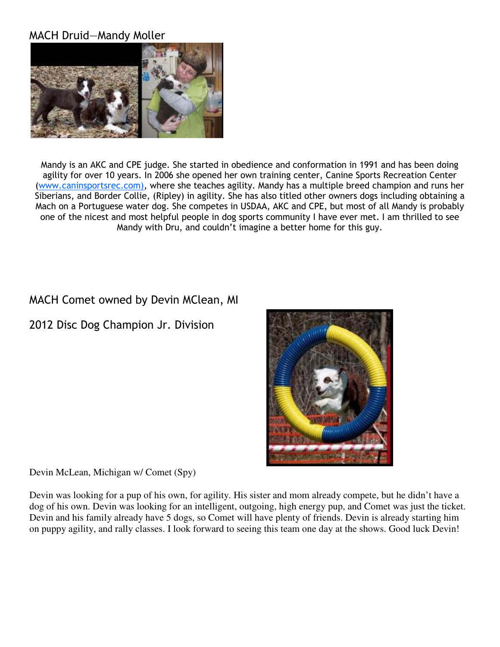#### MACH Druid—Mandy Moller



Mandy is an AKC and CPE judge. She started in obedience and conformation in 1991 and has been doing agility for over 10 years. In 2006 she opened her own training center, Canine Sports Recreation Center (www.caninsportsrec.com), where she teaches agility. Mandy has a multiple breed champion and runs her Siberians, and Border Collie, (Ripley) in agility. She has also titled other owners dogs including obtaining a Mach on a Portuguese water dog. She competes in USDAA, AKC and CPE, but most of all Mandy is probably one of the nicest and most helpful people in dog sports community I have ever met. I am thrilled to see Mandy with Dru, and couldn't imagine a better home for this guy.

# MACH Comet owned by Devin MClean, MI

2012 Disc Dog Champion Jr. Division



Devin McLean, Michigan w/ Comet (Spy)

Devin was looking for a pup of his own, for agility. His sister and mom already compete, but he didn't have a dog of his own. Devin was looking for an intelligent, outgoing, high energy pup, and Comet was just the ticket. Devin and his family already have 5 dogs, so Comet will have plenty of friends. Devin is already starting him on puppy agility, and rally classes. I look forward to seeing this team one day at the shows. Good luck Devin!